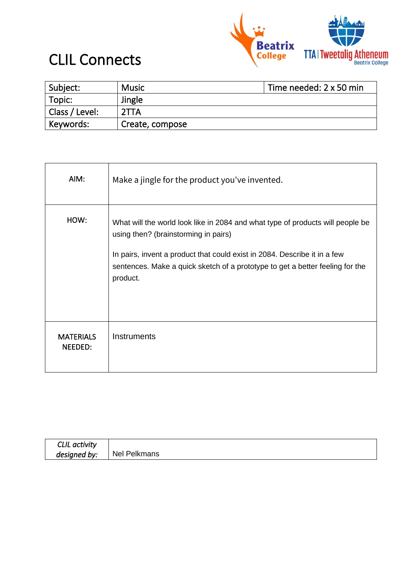

#### CLIL Connects

| Subject:       | <b>Music</b>    | Time needed: 2 x 50 min |
|----------------|-----------------|-------------------------|
| Topic:         | Jingle          |                         |
| Class / Level: | 2TTA            |                         |
| Keywords:      | Create, compose |                         |

| AIM:                        | Make a jingle for the product you've invented.                                                                                                                         |
|-----------------------------|------------------------------------------------------------------------------------------------------------------------------------------------------------------------|
| HOW:                        | What will the world look like in 2084 and what type of products will people be<br>using then? (brainstorming in pairs)                                                 |
|                             | In pairs, invent a product that could exist in 2084. Describe it in a few<br>sentences. Make a quick sketch of a prototype to get a better feeling for the<br>product. |
| <b>MATERIALS</b><br>NEEDED: | <b>Instruments</b>                                                                                                                                                     |

| CLIL activity |              |
|---------------|--------------|
| designed by:  | Nel Pelkmans |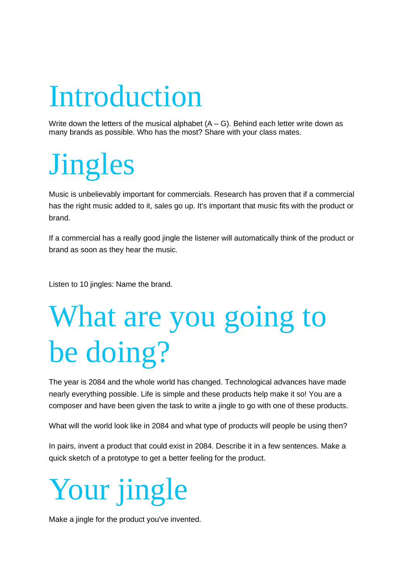#### Introduction

Write down the letters of the musical alphabet  $(A - G)$ . Behind each letter write down as many brands as possible. Who has the most? Share with your class mates.

# Jingles

Music is unbelievably important for commercials. Research has proven that if a commercial has the right music added to it, sales go up. It's important that music fits with the product or brand.

If a commercial has a really good jingle the listener will automatically think of the product or brand as soon as they hear the music.

Listen to 10 jingles: Name the brand.

# What are you going to be doing?

The year is 2084 and the whole world has changed. Technological advances have made nearly everything possible. Life is simple and these products help make it so! You are a composer and have been given the task to write a jingle to go with one of these products.

What will the world look like in 2084 and what type of products will people be using then?

In pairs, invent a product that could exist in 2084. Describe it in a few sentences. Make a quick sketch of a prototype to get a better feeling for the product.



Make a jingle for the product you've invented.